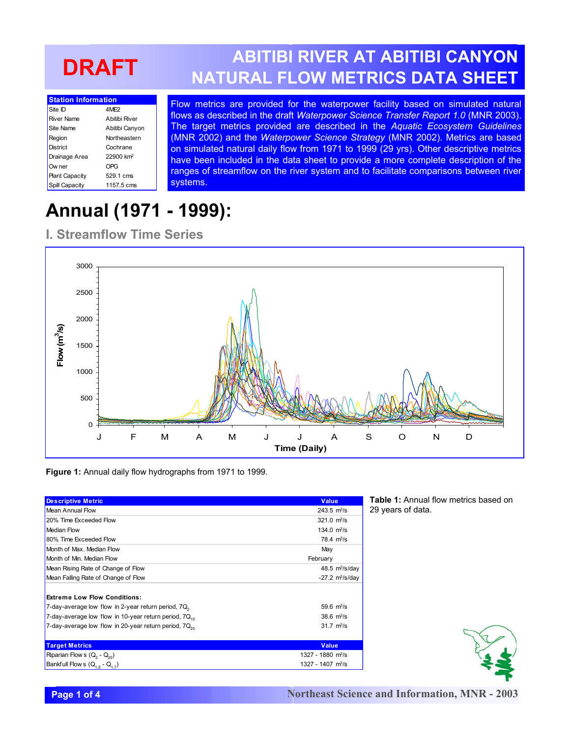# **DRAFT**

| <b>Station Information</b> |                       |  |
|----------------------------|-----------------------|--|
| Site ID                    | 4MF <sub>2</sub>      |  |
| <b>River Name</b>          | A hitihi River        |  |
| Site Name                  | Abitibi Canyon        |  |
| Region                     | Northeastern          |  |
| District                   | Cochrane              |  |
| Drainage Area              | 22900 km <sup>2</sup> |  |
| Ow ner                     | OPG                   |  |
| <b>Plant Capacity</b>      | 529.1 cms             |  |
| Spill Capacity             | 1157.5 cms            |  |

**ABITIBI RIVER AT ABITIBI CANYON NATURAL FLOW METRICS DATA SHEET**

Flow metrics are provided for the waterpower facility based on simulated natural flows as described in the draft *Waterpower Science Transfer Report 1.0* (MNR 2003). The target metrics provided are described in the *Aquatic Ecosystem Guidelines* (MNR 2002) and the *Waterpower Science Strategy* (MNR 2002). Metrics are based on simulated natural daily flow from 1971 to 1999 (29 yrs). Other descriptive metrics have been included in the data sheet to provide a more complete description of the ranges of streamflow on the river system and to facilitate comparisons between river systems.

## **Annual (1971 - 1999):**

#### **I. Streamflow Time Series**



**Figure 1:** Annual daily flow hydrographs from 1971 to 1999.

| <b>Descriptive Metric</b>                                         | <b>Value</b>                              |
|-------------------------------------------------------------------|-------------------------------------------|
| Mean Annual Flow                                                  | $243.5 \text{ m}$ <sup>3</sup> /s         |
| 20% Time Exceeded Flow                                            | $321.0 \text{ m}^3/\text{s}$              |
| <b>Median Flow</b>                                                | 134.0 $\frac{m^3}{s}$                     |
| 80% Time Exceeded Flow                                            | $78.4 \text{ m}^3\text{/s}$               |
| Month of Max. Median Flow                                         | May                                       |
| Month of Min. Median Flow                                         | February                                  |
| Mean Rising Rate of Change of Flow                                | 48.5 $m^3/s/day$                          |
| Mean Falling Rate of Change of Flow                               | $-27.2 \, \text{m}^3/\text{s}/\text{day}$ |
| <b>Extreme Low Flow Conditions:</b>                               |                                           |
| 7-day-average low flow in 2-year return period, 7Q <sub>2</sub>   | $59.6 \text{ m}^3/\text{s}$               |
| 7-day-average low flow in 10-year return period, 7Q.              | $38.6 \text{ m}^3/\text{s}$               |
| 7-day-average low flow in 20-year return period, 7Q <sub>20</sub> | $31.7 \text{ m}^3/\text{s}$               |
| <b>Target Metrics</b>                                             | <b>Value</b>                              |
| Riparian Flow s $(Q_2 - Q_{20})$                                  | $1327 - 1880$ m <sup>3</sup> /s           |
| Bankfull Flow s $(Q_{15} - Q_{17})$                               | 1327 - 1407 m <sup>3</sup> /s             |

**Table 1:** Annual flow metrics based on 29 years of data.

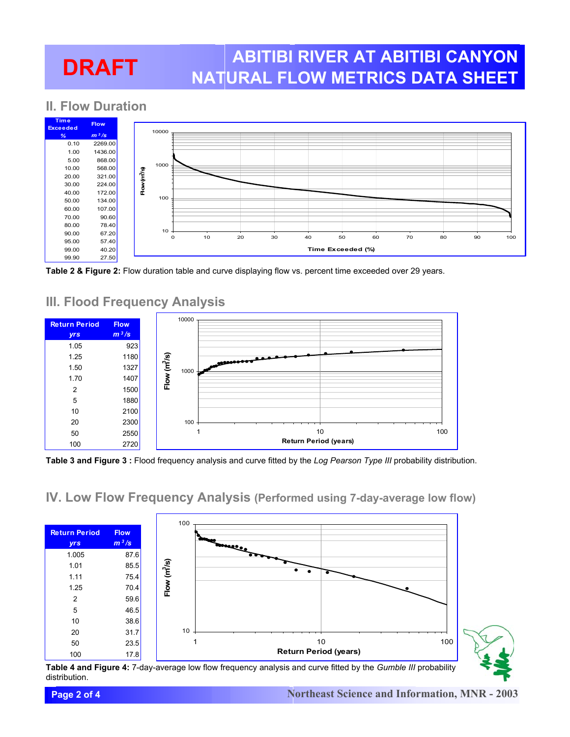# **DRAFT**

### **ABITIBI RIVER AT ABITIBI CANYON NATURAL FLOW METRICS DATA SHEET**

### **II. Flow Duration**



**Table 2 & Figure 2:** Flow duration table and curve displaying flow vs. percent time exceeded over 29 years.



#### **III. Flood Frequency Analysis**

**Table 3 and Figure 3 :** Flood frequency analysis and curve fitted by the *Log Pearson Type III* probability distribution.

#### **IV. Low Flow Frequency Analysis (Performed using 7-day-average low flow)**



**Table 4 and Figure 4:** 7-day-average low flow frequency analysis and curve fitted by the *Gumble III* probability distribution.

#### **Page 2 of 4**

#### **Northeast Science and Information, MNR - 2003**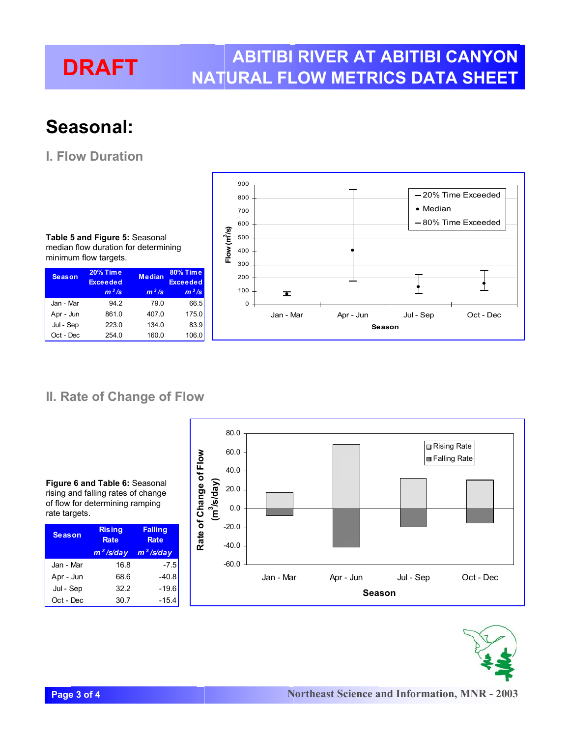#### **DRAFT ABITIBI RIVER AT ABITIBI CANYON NATURAL FLOW METRICS DATA SHEET**

## **Seasonal:**

### **I. Flow Duration**

**Table 5 and Figure 5:** Seasonal median flow duration for determining minimum flow targets.

| <b>Season</b> | <b>20% Time</b><br><b>Exceeded</b> | <b>Median</b> | <b>80% Time</b><br><b>Exceeded</b> |
|---------------|------------------------------------|---------------|------------------------------------|
|               | $m^3/s$                            | $m^3/s$       | $m^3/s$                            |
| Jan - Mar     | 94.2                               | 79.0          | 66.5                               |
| Apr - Jun     | 861.0                              | 407.0         | 175.0                              |
| Jul - Sep     | 223.0                              | 134.0         | 83.9                               |
| Oct - Dec     | 254.0                              | 160.0         | 106.0                              |



#### **II. Rate of Change of Flow**

**Figure 6 and Table 6:** Seasonal rising and falling rates of change of flow for determining ramping rate targets.

| <b>Season</b> | <b>Rising</b><br><b>Rate</b> | <b>Falling</b><br><b>Rate</b> |
|---------------|------------------------------|-------------------------------|
|               | $m^3$ /s/day                 | $m^3$ /s/day                  |
| Jan - Mar     | 16.8                         | $-7.5$                        |
| Apr - Jun     | 68.6                         | $-40.8$                       |
| Jul - Sep     | 322                          | $-19.6$                       |
| Oct - Dec     | 30.7                         | $-15.4$                       |
|               |                              |                               |